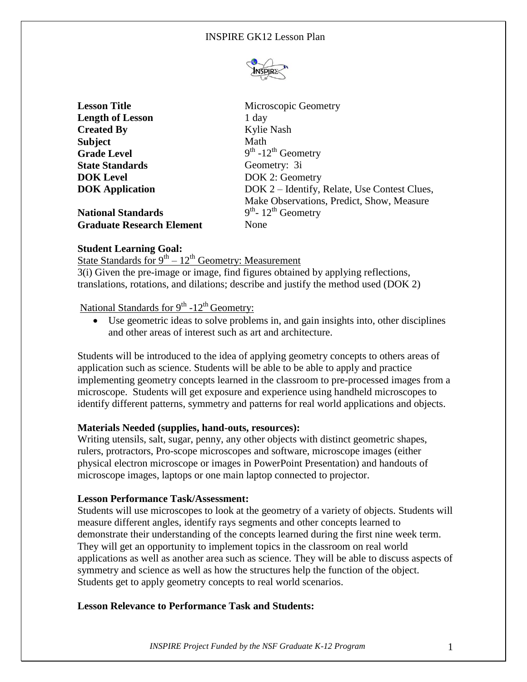

| <b>Lesson Title</b>              | Microscopic Geometry                         |
|----------------------------------|----------------------------------------------|
| <b>Length of Lesson</b>          | 1 day                                        |
| <b>Created By</b>                | Kylie Nash                                   |
| Subject                          | Math                                         |
| <b>Grade Level</b>               | $9th - 12th$ Geometry                        |
| <b>State Standards</b>           | Geometry: 3i                                 |
| <b>DOK Level</b>                 | DOK 2: Geometry                              |
| <b>DOK Application</b>           | DOK 2 – Identify, Relate, Use Contest Clues, |
|                                  | Make Observations, Predict, Show, Measure    |
| <b>National Standards</b>        | $9th$ - 12 <sup>th</sup> Geometry            |
| <b>Graduate Research Element</b> | None                                         |

# **Student Learning Goal:**

State Standards for 9<sup>th</sup> – 12<sup>th</sup> Geometry: Measurement

3(i) Given the pre-image or image, find figures obtained by applying reflections, translations, rotations, and dilations; describe and justify the method used (DOK 2)

# National Standards for 9<sup>th</sup> -12<sup>th</sup> Geometry:

 Use geometric ideas to solve problems in, and gain insights into, other disciplines and other areas of interest such as art and architecture.

Students will be introduced to the idea of applying geometry concepts to others areas of application such as science. Students will be able to be able to apply and practice implementing geometry concepts learned in the classroom to pre-processed images from a microscope. Students will get exposure and experience using handheld microscopes to identify different patterns, symmetry and patterns for real world applications and objects.

# **Materials Needed (supplies, hand-outs, resources):**

Writing utensils, salt, sugar, penny, any other objects with distinct geometric shapes, rulers, protractors, Pro-scope microscopes and software, microscope images (either physical electron microscope or images in PowerPoint Presentation) and handouts of microscope images, laptops or one main laptop connected to projector.

#### **Lesson Performance Task/Assessment:**

Students will use microscopes to look at the geometry of a variety of objects. Students will measure different angles, identify rays segments and other concepts learned to demonstrate their understanding of the concepts learned during the first nine week term. They will get an opportunity to implement topics in the classroom on real world applications as well as another area such as science. They will be able to discuss aspects of symmetry and science as well as how the structures help the function of the object. Students get to apply geometry concepts to real world scenarios.

# **Lesson Relevance to Performance Task and Students:**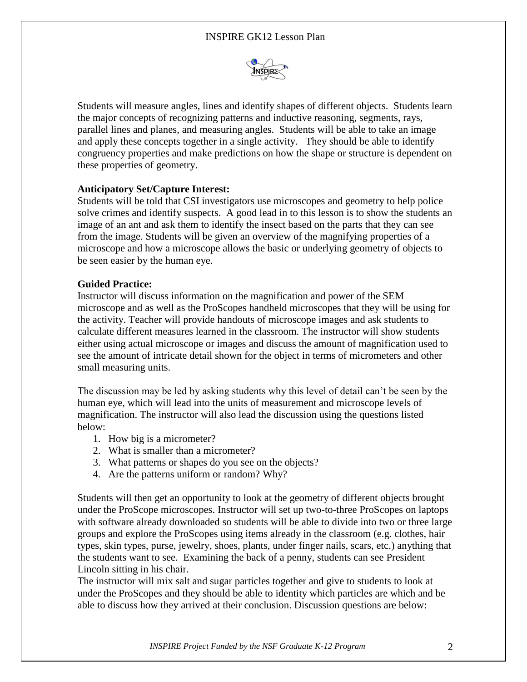

Students will measure angles, lines and identify shapes of different objects. Students learn the major concepts of recognizing patterns and inductive reasoning, segments, rays, parallel lines and planes, and measuring angles. Students will be able to take an image and apply these concepts together in a single activity. They should be able to identify congruency properties and make predictions on how the shape or structure is dependent on these properties of geometry.

# **Anticipatory Set/Capture Interest:**

Students will be told that CSI investigators use microscopes and geometry to help police solve crimes and identify suspects. A good lead in to this lesson is to show the students an image of an ant and ask them to identify the insect based on the parts that they can see from the image. Students will be given an overview of the magnifying properties of a microscope and how a microscope allows the basic or underlying geometry of objects to be seen easier by the human eye.

#### **Guided Practice:**

Instructor will discuss information on the magnification and power of the SEM microscope and as well as the ProScopes handheld microscopes that they will be using for the activity. Teacher will provide handouts of microscope images and ask students to calculate different measures learned in the classroom. The instructor will show students either using actual microscope or images and discuss the amount of magnification used to see the amount of intricate detail shown for the object in terms of micrometers and other small measuring units.

The discussion may be led by asking students why this level of detail can't be seen by the human eye, which will lead into the units of measurement and microscope levels of magnification. The instructor will also lead the discussion using the questions listed below:

- 1. How big is a micrometer?
- 2. What is smaller than a micrometer?
- 3. What patterns or shapes do you see on the objects?
- 4. Are the patterns uniform or random? Why?

Students will then get an opportunity to look at the geometry of different objects brought under the ProScope microscopes. Instructor will set up two-to-three ProScopes on laptops with software already downloaded so students will be able to divide into two or three large groups and explore the ProScopes using items already in the classroom (e.g. clothes, hair types, skin types, purse, jewelry, shoes, plants, under finger nails, scars, etc.) anything that the students want to see. Examining the back of a penny, students can see President Lincoln sitting in his chair.

The instructor will mix salt and sugar particles together and give to students to look at under the ProScopes and they should be able to identity which particles are which and be able to discuss how they arrived at their conclusion. Discussion questions are below: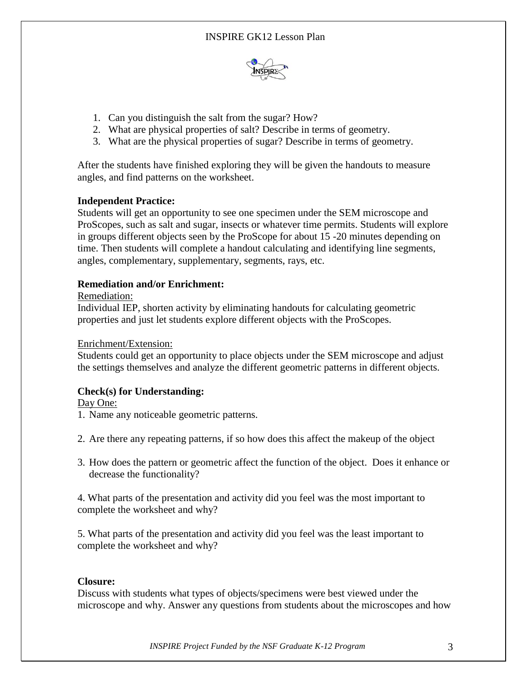

- 1. Can you distinguish the salt from the sugar? How?
- 2. What are physical properties of salt? Describe in terms of geometry.
- 3. What are the physical properties of sugar? Describe in terms of geometry.

After the students have finished exploring they will be given the handouts to measure angles, and find patterns on the worksheet.

# **Independent Practice:**

Students will get an opportunity to see one specimen under the SEM microscope and ProScopes, such as salt and sugar, insects or whatever time permits. Students will explore in groups different objects seen by the ProScope for about 15 -20 minutes depending on time. Then students will complete a handout calculating and identifying line segments, angles, complementary, supplementary, segments, rays, etc.

# **Remediation and/or Enrichment:**

# Remediation:

Individual IEP, shorten activity by eliminating handouts for calculating geometric properties and just let students explore different objects with the ProScopes.

# Enrichment/Extension:

Students could get an opportunity to place objects under the SEM microscope and adjust the settings themselves and analyze the different geometric patterns in different objects.

# **Check(s) for Understanding:**

Day One:

- 1. Name any noticeable geometric patterns.
- 2. Are there any repeating patterns, if so how does this affect the makeup of the object
- 3. How does the pattern or geometric affect the function of the object. Does it enhance or decrease the functionality?

4. What parts of the presentation and activity did you feel was the most important to complete the worksheet and why?

5. What parts of the presentation and activity did you feel was the least important to complete the worksheet and why?

# **Closure:**

Discuss with students what types of objects/specimens were best viewed under the microscope and why. Answer any questions from students about the microscopes and how